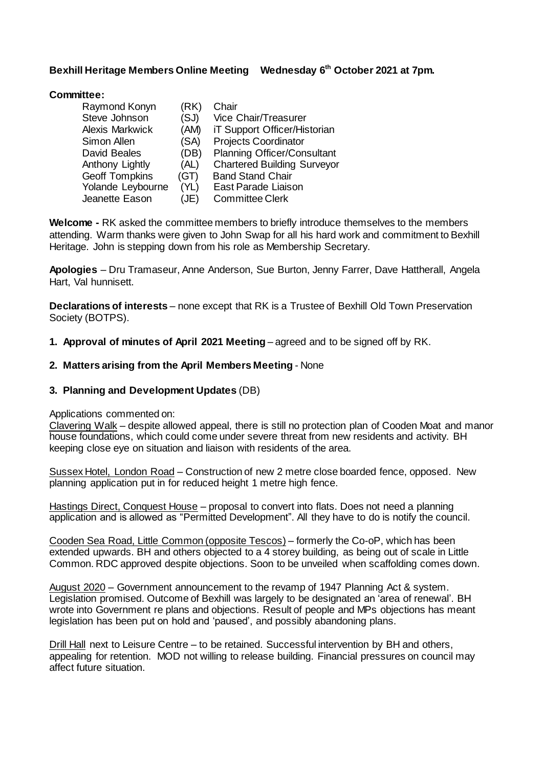# **Bexhill Heritage Members Online Meeting Wednesday 6 th October 2021 at 7pm.**

### **Committee:**

| Raymond Konyn          | (RK) | Chair                              |
|------------------------|------|------------------------------------|
| Steve Johnson          | (SJ) | Vice Chair/Treasurer               |
| <b>Alexis Markwick</b> | (AM) | iT Support Officer/Historian       |
| Simon Allen            | (SA) | <b>Projects Coordinator</b>        |
| David Beales           | (DB) | <b>Planning Officer/Consultant</b> |
| Anthony Lightly        | (AL) | <b>Chartered Building Surveyor</b> |
| <b>Geoff Tompkins</b>  | (GT) | <b>Band Stand Chair</b>            |
| Yolande Leybourne      | (YL) | East Parade Liaison                |
| Jeanette Eason         | (JE) | <b>Committee Clerk</b>             |

**Welcome -** RK asked the committee members to briefly introduce themselves to the members attending. Warm thanks were given to John Swap for all his hard work and commitment to Bexhill Heritage. John is stepping down from his role as Membership Secretary.

**Apologies** – Dru Tramaseur, Anne Anderson, Sue Burton, Jenny Farrer, Dave Hattherall, Angela Hart, Val hunnisett.

**Declarations of interests** – none except that RK is a Trustee of Bexhill Old Town Preservation Society (BOTPS).

**1. Approval of minutes of April 2021 Meeting** – agreed and to be signed off by RK.

### **2. Matters arising from the April Members Meeting** - None

#### **3. Planning and Development Updates** (DB)

#### Applications commented on:

Clavering Walk – despite allowed appeal, there is still no protection plan of Cooden Moat and manor house foundations, which could come under severe threat from new residents and activity. BH keeping close eye on situation and liaison with residents of the area.

Sussex Hotel, London Road – Construction of new 2 metre close boarded fence, opposed. New planning application put in for reduced height 1 metre high fence.

Hastings Direct, Conquest House – proposal to convert into flats. Does not need a planning application and is allowed as "Permitted Development". All they have to do is notify the council.

Cooden Sea Road, Little Common (opposite Tescos) – formerly the Co-oP, which has been extended upwards. BH and others objected to a 4 storey building, as being out of scale in Little Common. RDC approved despite objections. Soon to be unveiled when scaffolding comes down.

August 2020 – Government announcement to the revamp of 1947 Planning Act & system. Legislation promised. Outcome of Bexhill was largely to be designated an 'area of renewal'. BH wrote into Government re plans and objections. Result of people and MPs objections has meant legislation has been put on hold and 'paused', and possibly abandoning plans.

Drill Hall next to Leisure Centre – to be retained. Successful intervention by BH and others, appealing for retention. MOD not willing to release building. Financial pressures on council may affect future situation.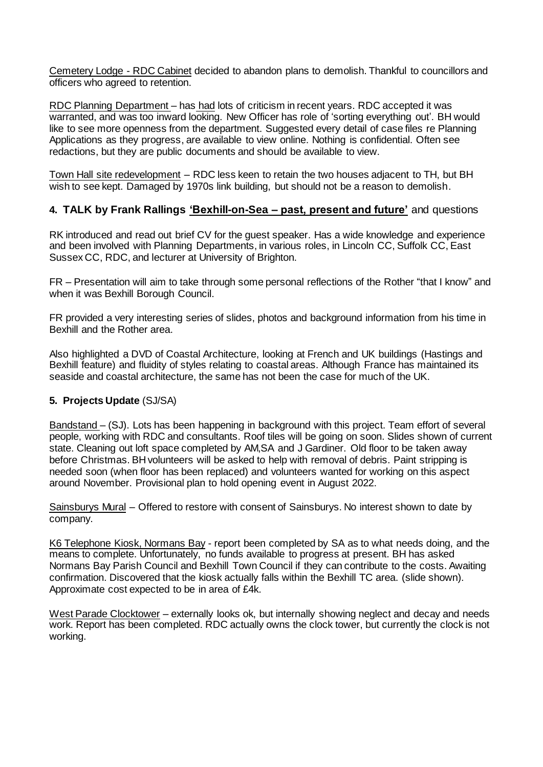Cemetery Lodge - RDC Cabinet decided to abandon plans to demolish. Thankful to councillors and officers who agreed to retention.

RDC Planning Department – has had lots of criticism in recent years. RDC accepted it was warranted, and was too inward looking. New Officer has role of 'sorting everything out'. BH would like to see more openness from the department. Suggested every detail of case files re Planning Applications as they progress, are available to view online. Nothing is confidential. Often see redactions, but they are public documents and should be available to view.

Town Hall site redevelopment – RDC less keen to retain the two houses adjacent to TH, but BH wish to see kept. Damaged by 1970s link building, but should not be a reason to demolish.

## **4. TALK by Frank Rallings 'Bexhill-on-Sea – past, present and future'** and questions

RK introduced and read out brief CV for the guest speaker. Has a wide knowledge and experience and been involved with Planning Departments, in various roles, in Lincoln CC, Suffolk CC, East Sussex CC, RDC, and lecturer at University of Brighton.

FR – Presentation will aim to take through some personal reflections of the Rother "that I know" and when it was Bexhill Borough Council.

FR provided a very interesting series of slides, photos and background information from his time in Bexhill and the Rother area.

Also highlighted a DVD of Coastal Architecture, looking at French and UK buildings (Hastings and Bexhill feature) and fluidity of styles relating to coastal areas. Although France has maintained its seaside and coastal architecture, the same has not been the case for much of the UK.

# **5. Projects Update** (SJ/SA)

Bandstand – (SJ). Lots has been happening in background with this project. Team effort of several people, working with RDC and consultants. Roof tiles will be going on soon. Slides shown of current state. Cleaning out loft space completed by AM,SA and J Gardiner. Old floor to be taken away before Christmas. BH volunteers will be asked to help with removal of debris. Paint stripping is needed soon (when floor has been replaced) and volunteers wanted for working on this aspect around November. Provisional plan to hold opening event in August 2022.

Sainsburys Mural – Offered to restore with consent of Sainsburys. No interest shown to date by company.

K6 Telephone Kiosk, Normans Bay - report been completed by SA as to what needs doing, and the means to complete. Unfortunately, no funds available to progress at present. BH has asked Normans Bay Parish Council and Bexhill Town Council if they can contribute to the costs. Awaiting confirmation. Discovered that the kiosk actually falls within the Bexhill TC area. (slide shown). Approximate cost expected to be in area of £4k.

West Parade Clocktower – externally looks ok, but internally showing neglect and decay and needs work. Report has been completed. RDC actually owns the clock tower, but currently the clock is not working.